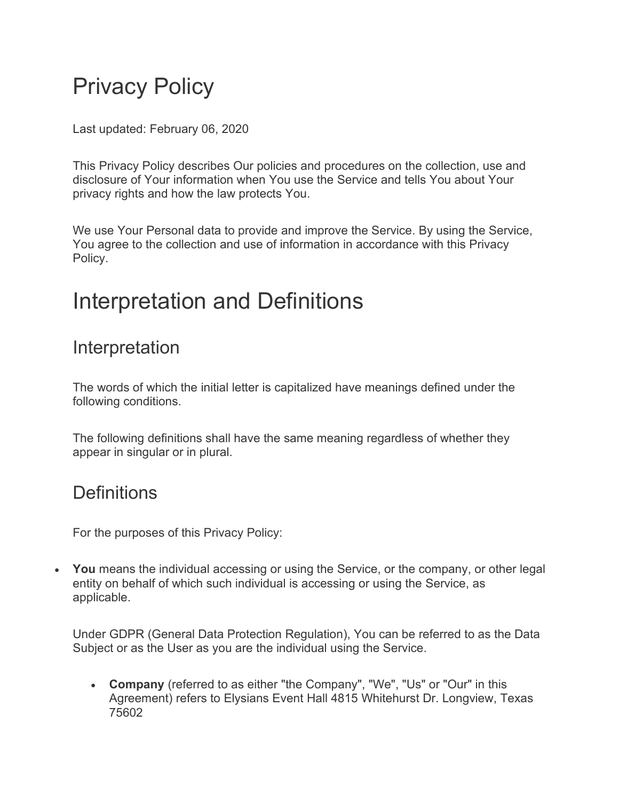# Privacy Policy

Last updated: February 06, 2020

This Privacy Policy describes Our policies and procedures on the collection, use and disclosure of Your information when You use the Service and tells You about Your privacy rights and how the law protects You.

We use Your Personal data to provide and improve the Service. By using the Service, You agree to the collection and use of information in accordance with this Privacy Policy.

## Interpretation and Definitions

### Interpretation

The words of which the initial letter is capitalized have meanings defined under the following conditions.

The following definitions shall have the same meaning regardless of whether they appear in singular or in plural.

### **Definitions**

For the purposes of this Privacy Policy:

• **You** means the individual accessing or using the Service, or the company, or other legal entity on behalf of which such individual is accessing or using the Service, as applicable.

Under GDPR (General Data Protection Regulation), You can be referred to as the Data Subject or as the User as you are the individual using the Service.

• **Company** (referred to as either "the Company", "We", "Us" or "Our" in this Agreement) refers to Elysians Event Hall 4815 Whitehurst Dr. Longview, Texas 75602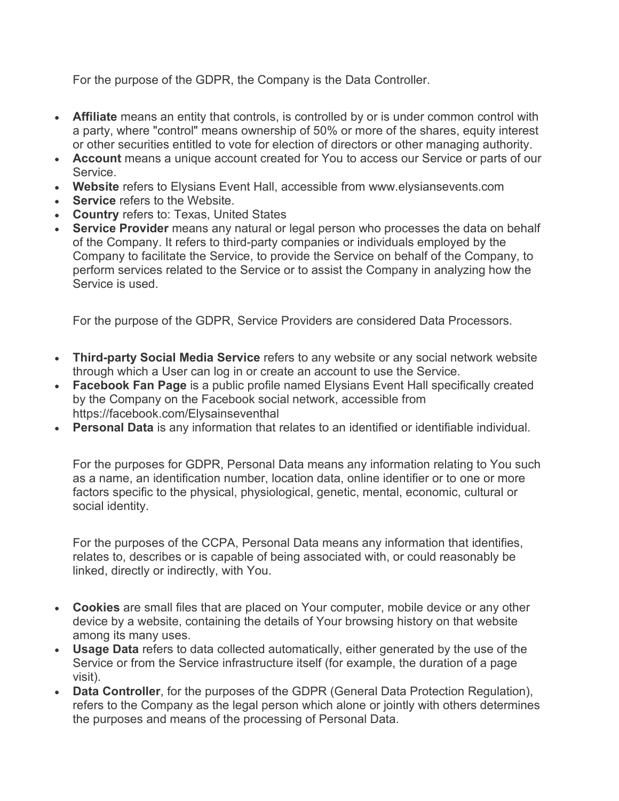For the purpose of the GDPR, the Company is the Data Controller.

- **Affiliate** means an entity that controls, is controlled by or is under common control with a party, where "control" means ownership of 50% or more of the shares, equity interest or other securities entitled to vote for election of directors or other managing authority.
- **Account** means a unique account created for You to access our Service or parts of our Service.
- **Website** refers to Elysians Event Hall, accessible from www.elysiansevents.com
- **Service** refers to the Website.
- **Country** refers to: Texas, United States
- **Service Provider** means any natural or legal person who processes the data on behalf of the Company. It refers to third-party companies or individuals employed by the Company to facilitate the Service, to provide the Service on behalf of the Company, to perform services related to the Service or to assist the Company in analyzing how the Service is used.

For the purpose of the GDPR, Service Providers are considered Data Processors.

- **Third-party Social Media Service** refers to any website or any social network website through which a User can log in or create an account to use the Service.
- **Facebook Fan Page** is a public profile named Elysians Event Hall specifically created by the Company on the Facebook social network, accessible from https://facebook.com/Elysainseventhal
- **Personal Data** is any information that relates to an identified or identifiable individual.

For the purposes for GDPR, Personal Data means any information relating to You such as a name, an identification number, location data, online identifier or to one or more factors specific to the physical, physiological, genetic, mental, economic, cultural or social identity.

For the purposes of the CCPA, Personal Data means any information that identifies, relates to, describes or is capable of being associated with, or could reasonably be linked, directly or indirectly, with You.

- **Cookies** are small files that are placed on Your computer, mobile device or any other device by a website, containing the details of Your browsing history on that website among its many uses.
- **Usage Data** refers to data collected automatically, either generated by the use of the Service or from the Service infrastructure itself (for example, the duration of a page visit).
- **Data Controller**, for the purposes of the GDPR (General Data Protection Regulation), refers to the Company as the legal person which alone or jointly with others determines the purposes and means of the processing of Personal Data.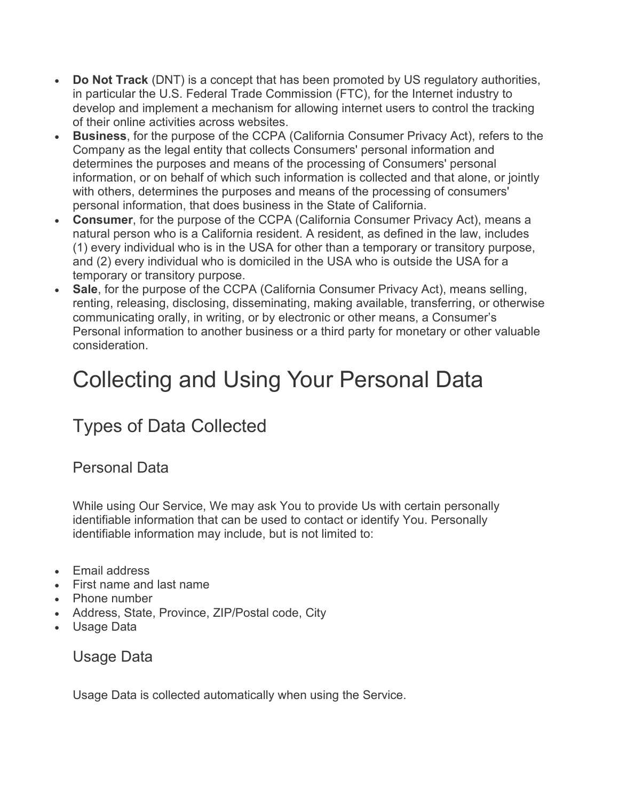- **Do Not Track** (DNT) is a concept that has been promoted by US regulatory authorities, in particular the U.S. Federal Trade Commission (FTC), for the Internet industry to develop and implement a mechanism for allowing internet users to control the tracking of their online activities across websites.
- **Business**, for the purpose of the CCPA (California Consumer Privacy Act), refers to the Company as the legal entity that collects Consumers' personal information and determines the purposes and means of the processing of Consumers' personal information, or on behalf of which such information is collected and that alone, or jointly with others, determines the purposes and means of the processing of consumers' personal information, that does business in the State of California.
- **Consumer**, for the purpose of the CCPA (California Consumer Privacy Act), means a natural person who is a California resident. A resident, as defined in the law, includes (1) every individual who is in the USA for other than a temporary or transitory purpose, and (2) every individual who is domiciled in the USA who is outside the USA for a temporary or transitory purpose.
- **Sale**, for the purpose of the CCPA (California Consumer Privacy Act), means selling, renting, releasing, disclosing, disseminating, making available, transferring, or otherwise communicating orally, in writing, or by electronic or other means, a Consumer's Personal information to another business or a third party for monetary or other valuable consideration.

# Collecting and Using Your Personal Data

## Types of Data Collected

#### Personal Data

While using Our Service, We may ask You to provide Us with certain personally identifiable information that can be used to contact or identify You. Personally identifiable information may include, but is not limited to:

- Email address
- First name and last name
- Phone number
- Address, State, Province, ZIP/Postal code, City
- Usage Data

#### Usage Data

Usage Data is collected automatically when using the Service.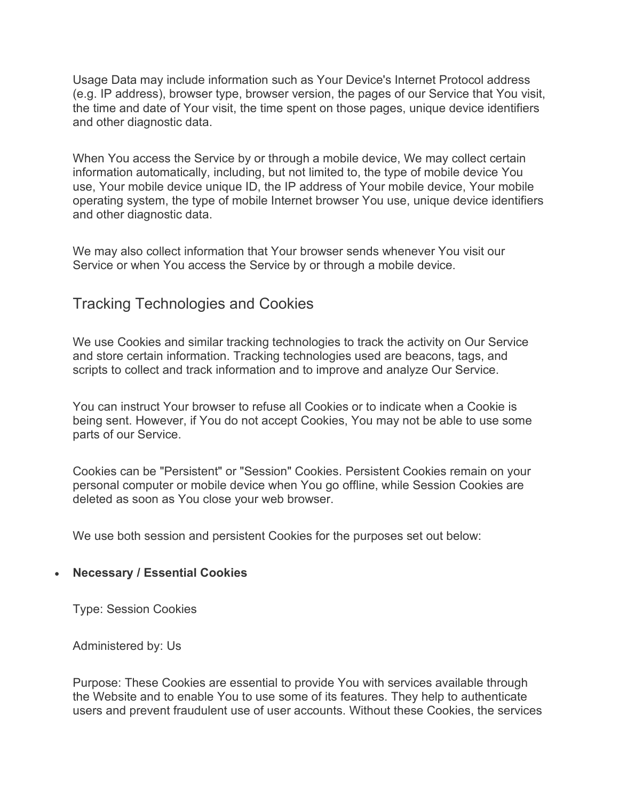Usage Data may include information such as Your Device's Internet Protocol address (e.g. IP address), browser type, browser version, the pages of our Service that You visit, the time and date of Your visit, the time spent on those pages, unique device identifiers and other diagnostic data.

When You access the Service by or through a mobile device, We may collect certain information automatically, including, but not limited to, the type of mobile device You use, Your mobile device unique ID, the IP address of Your mobile device, Your mobile operating system, the type of mobile Internet browser You use, unique device identifiers and other diagnostic data.

We may also collect information that Your browser sends whenever You visit our Service or when You access the Service by or through a mobile device.

#### Tracking Technologies and Cookies

We use Cookies and similar tracking technologies to track the activity on Our Service and store certain information. Tracking technologies used are beacons, tags, and scripts to collect and track information and to improve and analyze Our Service.

You can instruct Your browser to refuse all Cookies or to indicate when a Cookie is being sent. However, if You do not accept Cookies, You may not be able to use some parts of our Service.

Cookies can be "Persistent" or "Session" Cookies. Persistent Cookies remain on your personal computer or mobile device when You go offline, while Session Cookies are deleted as soon as You close your web browser.

We use both session and persistent Cookies for the purposes set out below:

#### • **Necessary / Essential Cookies**

Type: Session Cookies

Administered by: Us

Purpose: These Cookies are essential to provide You with services available through the Website and to enable You to use some of its features. They help to authenticate users and prevent fraudulent use of user accounts. Without these Cookies, the services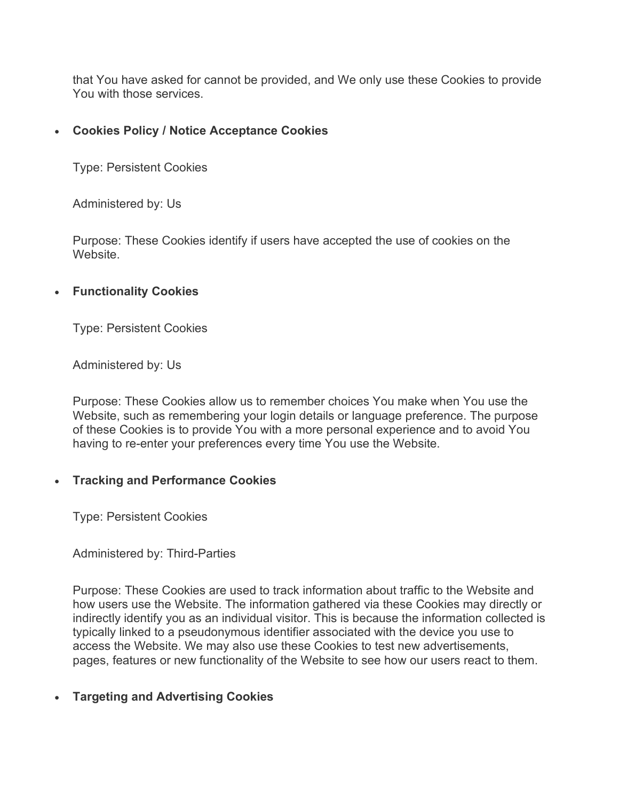that You have asked for cannot be provided, and We only use these Cookies to provide You with those services.

#### • **Cookies Policy / Notice Acceptance Cookies**

Type: Persistent Cookies

Administered by: Us

Purpose: These Cookies identify if users have accepted the use of cookies on the Website.

#### • **Functionality Cookies**

Type: Persistent Cookies

Administered by: Us

Purpose: These Cookies allow us to remember choices You make when You use the Website, such as remembering your login details or language preference. The purpose of these Cookies is to provide You with a more personal experience and to avoid You having to re-enter your preferences every time You use the Website.

#### • **Tracking and Performance Cookies**

Type: Persistent Cookies

Administered by: Third-Parties

Purpose: These Cookies are used to track information about traffic to the Website and how users use the Website. The information gathered via these Cookies may directly or indirectly identify you as an individual visitor. This is because the information collected is typically linked to a pseudonymous identifier associated with the device you use to access the Website. We may also use these Cookies to test new advertisements, pages, features or new functionality of the Website to see how our users react to them.

#### • **Targeting and Advertising Cookies**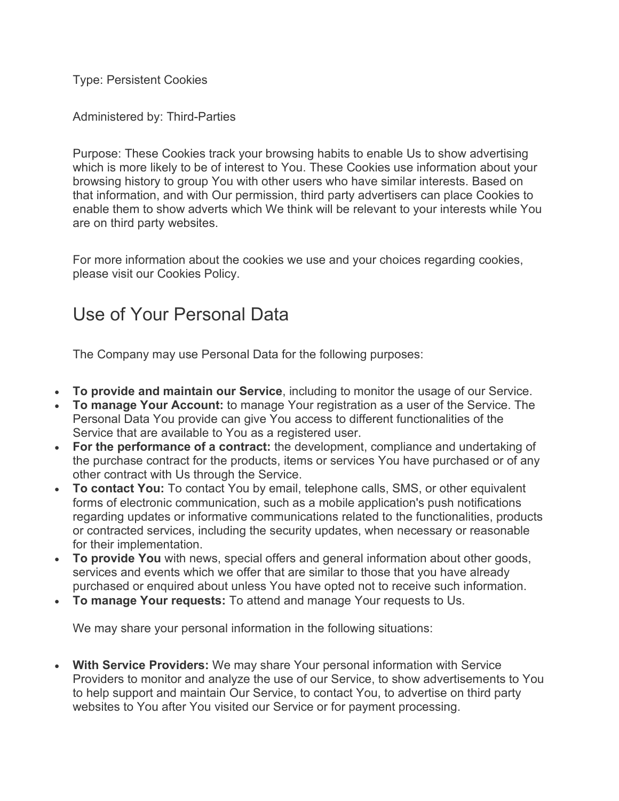Type: Persistent Cookies

Administered by: Third-Parties

Purpose: These Cookies track your browsing habits to enable Us to show advertising which is more likely to be of interest to You. These Cookies use information about your browsing history to group You with other users who have similar interests. Based on that information, and with Our permission, third party advertisers can place Cookies to enable them to show adverts which We think will be relevant to your interests while You are on third party websites.

For more information about the cookies we use and your choices regarding cookies, please visit our Cookies Policy.

## Use of Your Personal Data

The Company may use Personal Data for the following purposes:

- **To provide and maintain our Service**, including to monitor the usage of our Service.
- **To manage Your Account:** to manage Your registration as a user of the Service. The Personal Data You provide can give You access to different functionalities of the Service that are available to You as a registered user.
- **For the performance of a contract:** the development, compliance and undertaking of the purchase contract for the products, items or services You have purchased or of any other contract with Us through the Service.
- **To contact You:** To contact You by email, telephone calls, SMS, or other equivalent forms of electronic communication, such as a mobile application's push notifications regarding updates or informative communications related to the functionalities, products or contracted services, including the security updates, when necessary or reasonable for their implementation.
- **To provide You** with news, special offers and general information about other goods, services and events which we offer that are similar to those that you have already purchased or enquired about unless You have opted not to receive such information.
- **To manage Your requests:** To attend and manage Your requests to Us.

We may share your personal information in the following situations:

• **With Service Providers:** We may share Your personal information with Service Providers to monitor and analyze the use of our Service, to show advertisements to You to help support and maintain Our Service, to contact You, to advertise on third party websites to You after You visited our Service or for payment processing.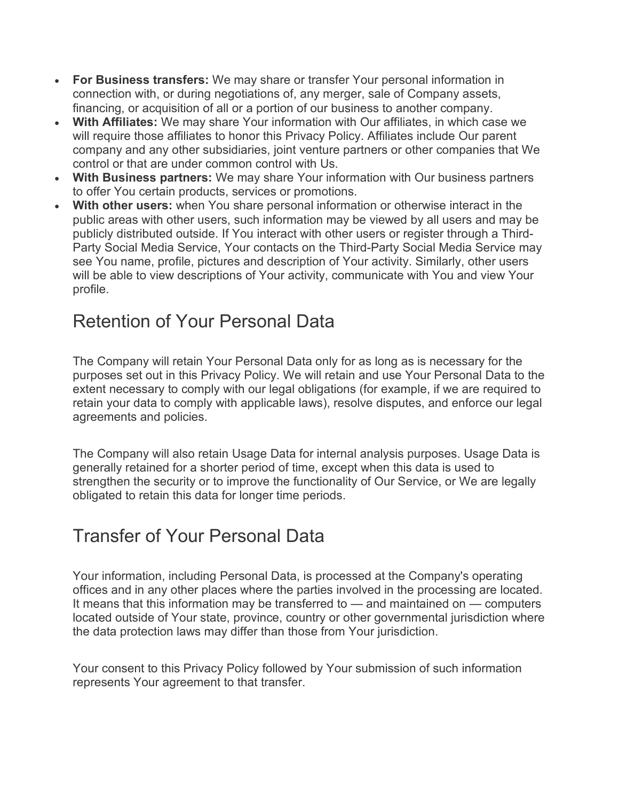- **For Business transfers:** We may share or transfer Your personal information in connection with, or during negotiations of, any merger, sale of Company assets, financing, or acquisition of all or a portion of our business to another company.
- **With Affiliates:** We may share Your information with Our affiliates, in which case we will require those affiliates to honor this Privacy Policy. Affiliates include Our parent company and any other subsidiaries, joint venture partners or other companies that We control or that are under common control with Us.
- **With Business partners:** We may share Your information with Our business partners to offer You certain products, services or promotions.
- **With other users:** when You share personal information or otherwise interact in the public areas with other users, such information may be viewed by all users and may be publicly distributed outside. If You interact with other users or register through a Third-Party Social Media Service, Your contacts on the Third-Party Social Media Service may see You name, profile, pictures and description of Your activity. Similarly, other users will be able to view descriptions of Your activity, communicate with You and view Your profile.

## Retention of Your Personal Data

The Company will retain Your Personal Data only for as long as is necessary for the purposes set out in this Privacy Policy. We will retain and use Your Personal Data to the extent necessary to comply with our legal obligations (for example, if we are required to retain your data to comply with applicable laws), resolve disputes, and enforce our legal agreements and policies.

The Company will also retain Usage Data for internal analysis purposes. Usage Data is generally retained for a shorter period of time, except when this data is used to strengthen the security or to improve the functionality of Our Service, or We are legally obligated to retain this data for longer time periods.

### Transfer of Your Personal Data

Your information, including Personal Data, is processed at the Company's operating offices and in any other places where the parties involved in the processing are located. It means that this information may be transferred to — and maintained on — computers located outside of Your state, province, country or other governmental jurisdiction where the data protection laws may differ than those from Your jurisdiction.

Your consent to this Privacy Policy followed by Your submission of such information represents Your agreement to that transfer.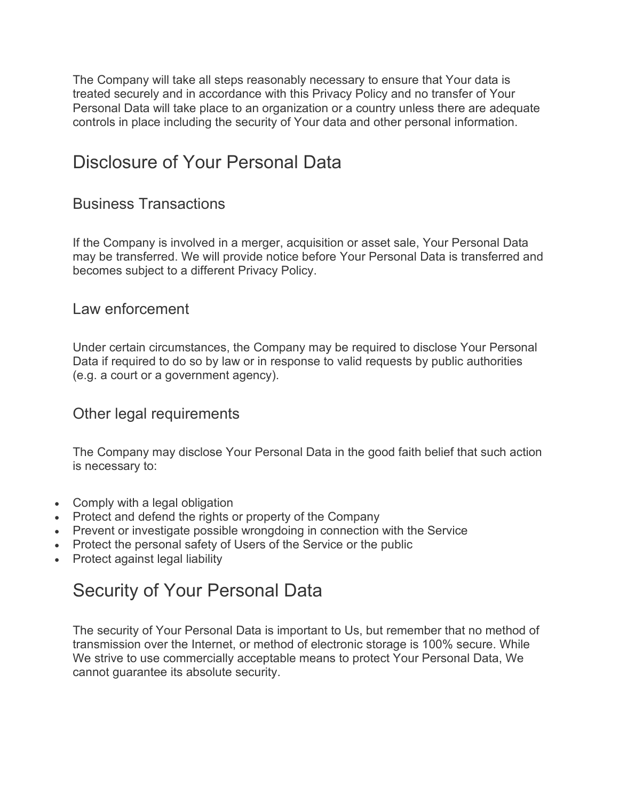The Company will take all steps reasonably necessary to ensure that Your data is treated securely and in accordance with this Privacy Policy and no transfer of Your Personal Data will take place to an organization or a country unless there are adequate controls in place including the security of Your data and other personal information.

### Disclosure of Your Personal Data

#### Business Transactions

If the Company is involved in a merger, acquisition or asset sale, Your Personal Data may be transferred. We will provide notice before Your Personal Data is transferred and becomes subject to a different Privacy Policy.

#### Law enforcement

Under certain circumstances, the Company may be required to disclose Your Personal Data if required to do so by law or in response to valid requests by public authorities (e.g. a court or a government agency).

#### Other legal requirements

The Company may disclose Your Personal Data in the good faith belief that such action is necessary to:

- Comply with a legal obligation
- Protect and defend the rights or property of the Company
- Prevent or investigate possible wrongdoing in connection with the Service
- Protect the personal safety of Users of the Service or the public
- Protect against legal liability

### Security of Your Personal Data

The security of Your Personal Data is important to Us, but remember that no method of transmission over the Internet, or method of electronic storage is 100% secure. While We strive to use commercially acceptable means to protect Your Personal Data, We cannot guarantee its absolute security.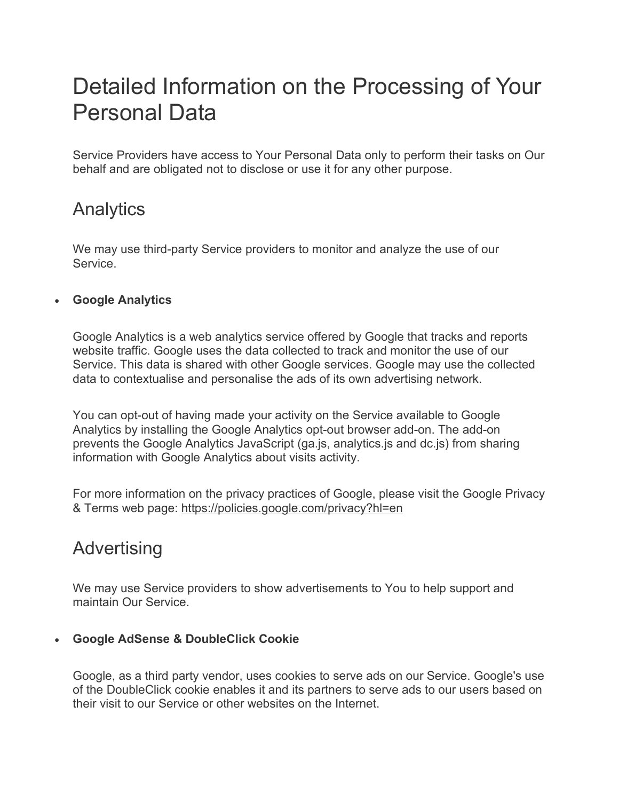# Detailed Information on the Processing of Your Personal Data

Service Providers have access to Your Personal Data only to perform their tasks on Our behalf and are obligated not to disclose or use it for any other purpose.

### Analytics

We may use third-party Service providers to monitor and analyze the use of our Service.

#### • **Google Analytics**

Google Analytics is a web analytics service offered by Google that tracks and reports website traffic. Google uses the data collected to track and monitor the use of our Service. This data is shared with other Google services. Google may use the collected data to contextualise and personalise the ads of its own advertising network.

You can opt-out of having made your activity on the Service available to Google Analytics by installing the Google Analytics opt-out browser add-on. The add-on prevents the Google Analytics JavaScript (ga.js, analytics.js and dc.js) from sharing information with Google Analytics about visits activity.

For more information on the privacy practices of Google, please visit the Google Privacy & Terms web page: <https://policies.google.com/privacy?hl=en>

### Advertising

We may use Service providers to show advertisements to You to help support and maintain Our Service.

#### • **Google AdSense & DoubleClick Cookie**

Google, as a third party vendor, uses cookies to serve ads on our Service. Google's use of the DoubleClick cookie enables it and its partners to serve ads to our users based on their visit to our Service or other websites on the Internet.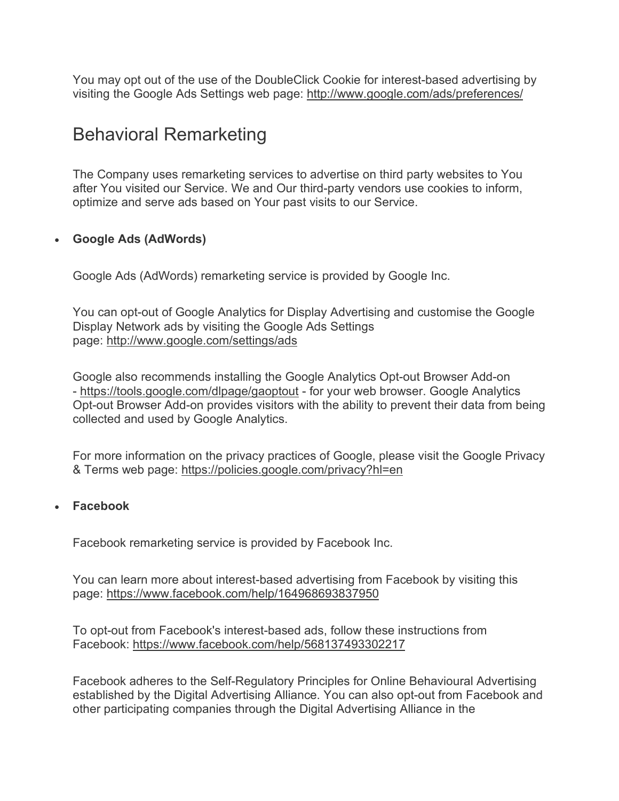You may opt out of the use of the DoubleClick Cookie for interest-based advertising by visiting the Google Ads Settings web page: <http://www.google.com/ads/preferences/>

### Behavioral Remarketing

The Company uses remarketing services to advertise on third party websites to You after You visited our Service. We and Our third-party vendors use cookies to inform, optimize and serve ads based on Your past visits to our Service.

#### • **Google Ads (AdWords)**

Google Ads (AdWords) remarketing service is provided by Google Inc.

You can opt-out of Google Analytics for Display Advertising and customise the Google Display Network ads by visiting the Google Ads Settings page: <http://www.google.com/settings/ads>

Google also recommends installing the Google Analytics Opt-out Browser Add-on - <https://tools.google.com/dlpage/gaoptout> - for your web browser. Google Analytics Opt-out Browser Add-on provides visitors with the ability to prevent their data from being collected and used by Google Analytics.

For more information on the privacy practices of Google, please visit the Google Privacy & Terms web page: <https://policies.google.com/privacy?hl=en>

#### • **Facebook**

Facebook remarketing service is provided by Facebook Inc.

You can learn more about interest-based advertising from Facebook by visiting this page: <https://www.facebook.com/help/164968693837950>

To opt-out from Facebook's interest-based ads, follow these instructions from Facebook: <https://www.facebook.com/help/568137493302217>

Facebook adheres to the Self-Regulatory Principles for Online Behavioural Advertising established by the Digital Advertising Alliance. You can also opt-out from Facebook and other participating companies through the Digital Advertising Alliance in the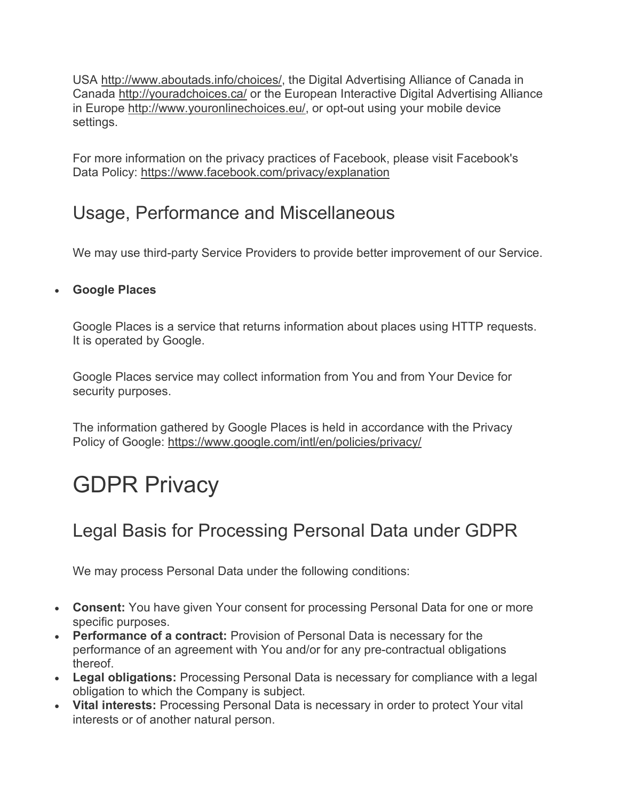USA [http://www.aboutads.info/choices/,](http://www.aboutads.info/choices/) the Digital Advertising Alliance of Canada in Canada <http://youradchoices.ca/> or the European Interactive Digital Advertising Alliance in Europe [http://www.youronlinechoices.eu/,](http://www.youronlinechoices.eu/) or opt-out using your mobile device settings.

For more information on the privacy practices of Facebook, please visit Facebook's Data Policy: <https://www.facebook.com/privacy/explanation>

## Usage, Performance and Miscellaneous

We may use third-party Service Providers to provide better improvement of our Service.

#### • **Google Places**

Google Places is a service that returns information about places using HTTP requests. It is operated by Google.

Google Places service may collect information from You and from Your Device for security purposes.

The information gathered by Google Places is held in accordance with the Privacy Policy of Google: <https://www.google.com/intl/en/policies/privacy/>

# GDPR Privacy

## Legal Basis for Processing Personal Data under GDPR

We may process Personal Data under the following conditions:

- **Consent:** You have given Your consent for processing Personal Data for one or more specific purposes.
- **Performance of a contract:** Provision of Personal Data is necessary for the performance of an agreement with You and/or for any pre-contractual obligations thereof.
- **Legal obligations:** Processing Personal Data is necessary for compliance with a legal obligation to which the Company is subject.
- **Vital interests:** Processing Personal Data is necessary in order to protect Your vital interests or of another natural person.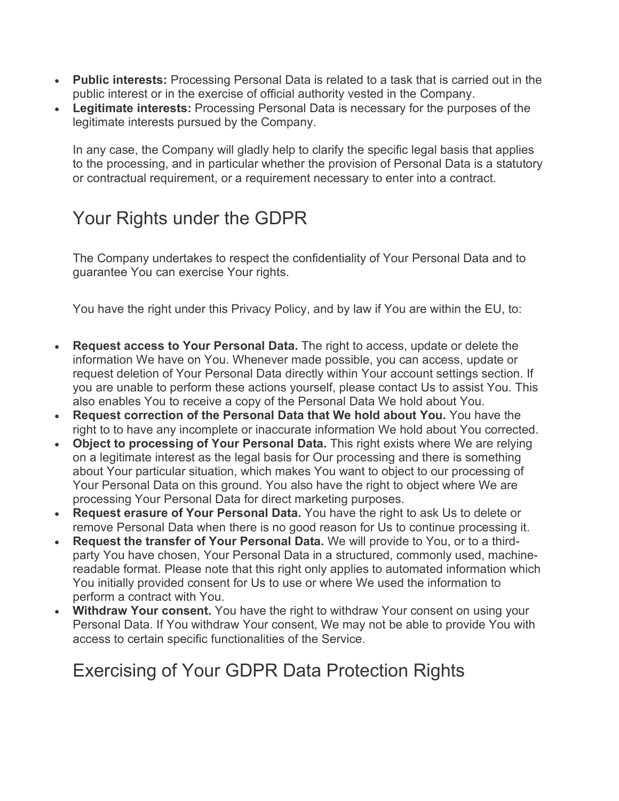- **Public interests:** Processing Personal Data is related to a task that is carried out in the public interest or in the exercise of official authority vested in the Company.
- **Legitimate interests:** Processing Personal Data is necessary for the purposes of the legitimate interests pursued by the Company.

In any case, the Company will gladly help to clarify the specific legal basis that applies to the processing, and in particular whether the provision of Personal Data is a statutory or contractual requirement, or a requirement necessary to enter into a contract.

## Your Rights under the GDPR

The Company undertakes to respect the confidentiality of Your Personal Data and to guarantee You can exercise Your rights.

You have the right under this Privacy Policy, and by law if You are within the EU, to:

- **Request access to Your Personal Data.** The right to access, update or delete the information We have on You. Whenever made possible, you can access, update or request deletion of Your Personal Data directly within Your account settings section. If you are unable to perform these actions yourself, please contact Us to assist You. This also enables You to receive a copy of the Personal Data We hold about You.
- **Request correction of the Personal Data that We hold about You.** You have the right to to have any incomplete or inaccurate information We hold about You corrected.
- **Object to processing of Your Personal Data.** This right exists where We are relying on a legitimate interest as the legal basis for Our processing and there is something about Your particular situation, which makes You want to object to our processing of Your Personal Data on this ground. You also have the right to object where We are processing Your Personal Data for direct marketing purposes.
- **Request erasure of Your Personal Data.** You have the right to ask Us to delete or remove Personal Data when there is no good reason for Us to continue processing it.
- **Request the transfer of Your Personal Data.** We will provide to You, or to a thirdparty You have chosen, Your Personal Data in a structured, commonly used, machinereadable format. Please note that this right only applies to automated information which You initially provided consent for Us to use or where We used the information to perform a contract with You.
- **Withdraw Your consent.** You have the right to withdraw Your consent on using your Personal Data. If You withdraw Your consent, We may not be able to provide You with access to certain specific functionalities of the Service.

### Exercising of Your GDPR Data Protection Rights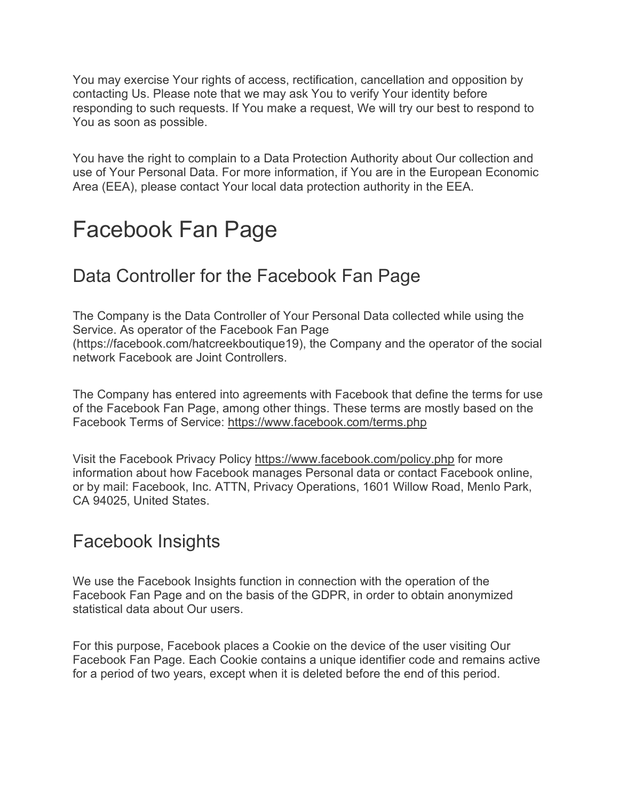You may exercise Your rights of access, rectification, cancellation and opposition by contacting Us. Please note that we may ask You to verify Your identity before responding to such requests. If You make a request, We will try our best to respond to You as soon as possible.

You have the right to complain to a Data Protection Authority about Our collection and use of Your Personal Data. For more information, if You are in the European Economic Area (EEA), please contact Your local data protection authority in the EEA.

## Facebook Fan Page

### Data Controller for the Facebook Fan Page

The Company is the Data Controller of Your Personal Data collected while using the Service. As operator of the Facebook Fan Page (https://facebook.com/hatcreekboutique19), the Company and the operator of the social network Facebook are Joint Controllers.

The Company has entered into agreements with Facebook that define the terms for use of the Facebook Fan Page, among other things. These terms are mostly based on the Facebook Terms of Service: <https://www.facebook.com/terms.php>

Visit the Facebook Privacy Policy <https://www.facebook.com/policy.php> for more information about how Facebook manages Personal data or contact Facebook online, or by mail: Facebook, Inc. ATTN, Privacy Operations, 1601 Willow Road, Menlo Park, CA 94025, United States.

### Facebook Insights

We use the Facebook Insights function in connection with the operation of the Facebook Fan Page and on the basis of the GDPR, in order to obtain anonymized statistical data about Our users.

For this purpose, Facebook places a Cookie on the device of the user visiting Our Facebook Fan Page. Each Cookie contains a unique identifier code and remains active for a period of two years, except when it is deleted before the end of this period.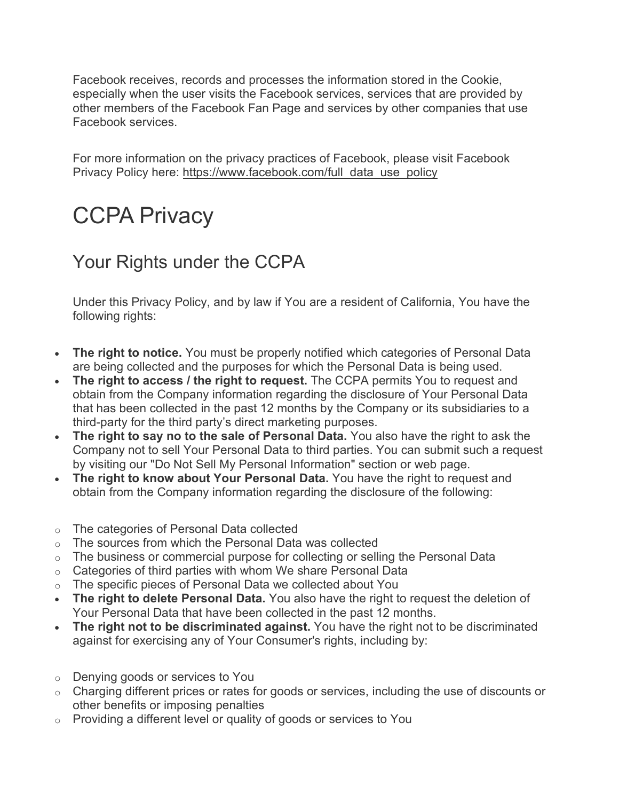Facebook receives, records and processes the information stored in the Cookie, especially when the user visits the Facebook services, services that are provided by other members of the Facebook Fan Page and services by other companies that use Facebook services.

For more information on the privacy practices of Facebook, please visit Facebook Privacy Policy here: [https://www.facebook.com/full\\_data\\_use\\_policy](https://www.facebook.com/full_data_use_policy)

# CCPA Privacy

## Your Rights under the CCPA

Under this Privacy Policy, and by law if You are a resident of California, You have the following rights:

- **The right to notice.** You must be properly notified which categories of Personal Data are being collected and the purposes for which the Personal Data is being used.
- **The right to access / the right to request.** The CCPA permits You to request and obtain from the Company information regarding the disclosure of Your Personal Data that has been collected in the past 12 months by the Company or its subsidiaries to a third-party for the third party's direct marketing purposes.
- **The right to say no to the sale of Personal Data.** You also have the right to ask the Company not to sell Your Personal Data to third parties. You can submit such a request by visiting our "Do Not Sell My Personal Information" section or web page.
- **The right to know about Your Personal Data.** You have the right to request and obtain from the Company information regarding the disclosure of the following:
- o The categories of Personal Data collected
- o The sources from which the Personal Data was collected
- o The business or commercial purpose for collecting or selling the Personal Data
- $\circ$  Categories of third parties with whom We share Personal Data
- o The specific pieces of Personal Data we collected about You
- **The right to delete Personal Data.** You also have the right to request the deletion of Your Personal Data that have been collected in the past 12 months.
- **The right not to be discriminated against.** You have the right not to be discriminated against for exercising any of Your Consumer's rights, including by:
- o Denying goods or services to You
- o Charging different prices or rates for goods or services, including the use of discounts or other benefits or imposing penalties
- o Providing a different level or quality of goods or services to You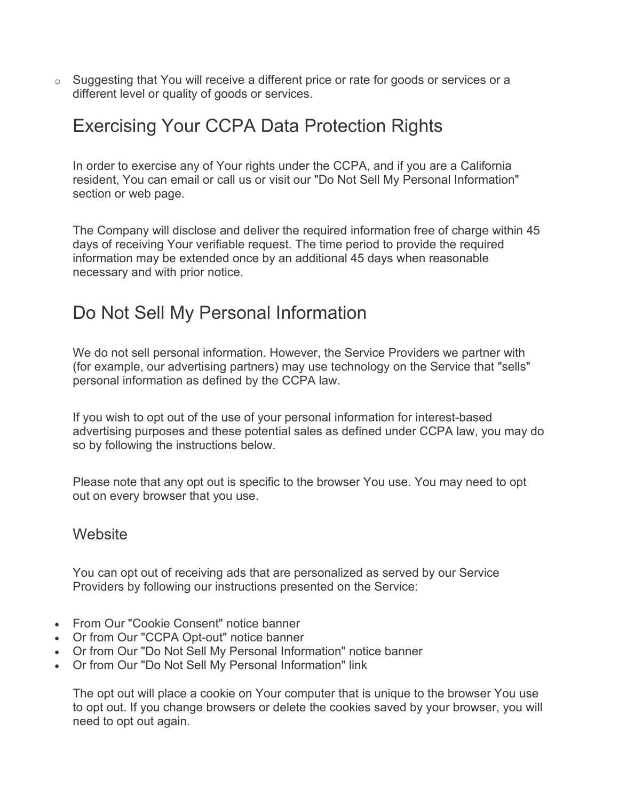$\circ$  Suggesting that You will receive a different price or rate for goods or services or a different level or quality of goods or services.

### Exercising Your CCPA Data Protection Rights

In order to exercise any of Your rights under the CCPA, and if you are a California resident, You can email or call us or visit our "Do Not Sell My Personal Information" section or web page.

The Company will disclose and deliver the required information free of charge within 45 days of receiving Your verifiable request. The time period to provide the required information may be extended once by an additional 45 days when reasonable necessary and with prior notice.

### Do Not Sell My Personal Information

We do not sell personal information. However, the Service Providers we partner with (for example, our advertising partners) may use technology on the Service that "sells" personal information as defined by the CCPA law.

If you wish to opt out of the use of your personal information for interest-based advertising purposes and these potential sales as defined under CCPA law, you may do so by following the instructions below.

Please note that any opt out is specific to the browser You use. You may need to opt out on every browser that you use.

#### **Website**

You can opt out of receiving ads that are personalized as served by our Service Providers by following our instructions presented on the Service:

- From Our "Cookie Consent" notice banner
- Or from Our "CCPA Opt-out" notice banner
- Or from Our "Do Not Sell My Personal Information" notice banner
- Or from Our "Do Not Sell My Personal Information" link

The opt out will place a cookie on Your computer that is unique to the browser You use to opt out. If you change browsers or delete the cookies saved by your browser, you will need to opt out again.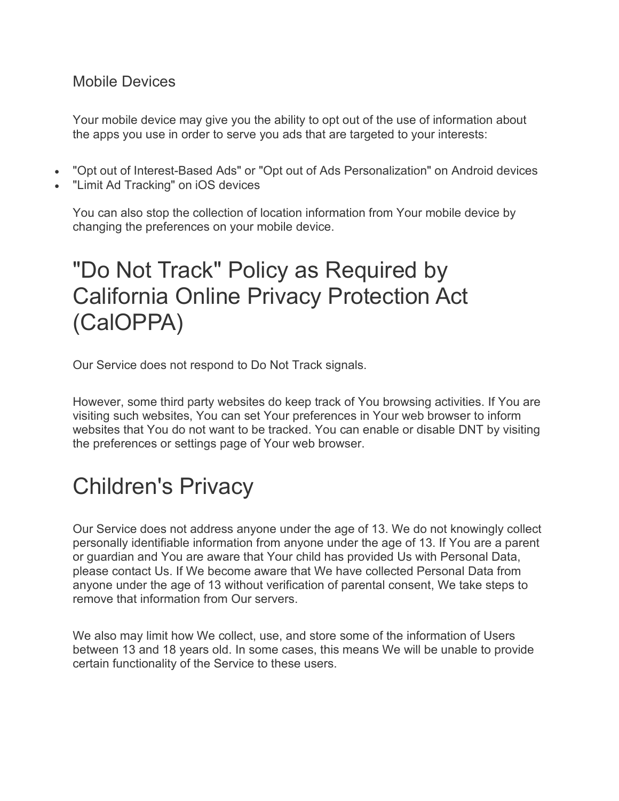#### Mobile Devices

Your mobile device may give you the ability to opt out of the use of information about the apps you use in order to serve you ads that are targeted to your interests:

- "Opt out of Interest-Based Ads" or "Opt out of Ads Personalization" on Android devices
- "Limit Ad Tracking" on iOS devices

You can also stop the collection of location information from Your mobile device by changing the preferences on your mobile device.

# "Do Not Track" Policy as Required by California Online Privacy Protection Act (CalOPPA)

Our Service does not respond to Do Not Track signals.

However, some third party websites do keep track of You browsing activities. If You are visiting such websites, You can set Your preferences in Your web browser to inform websites that You do not want to be tracked. You can enable or disable DNT by visiting the preferences or settings page of Your web browser.

# Children's Privacy

Our Service does not address anyone under the age of 13. We do not knowingly collect personally identifiable information from anyone under the age of 13. If You are a parent or guardian and You are aware that Your child has provided Us with Personal Data, please contact Us. If We become aware that We have collected Personal Data from anyone under the age of 13 without verification of parental consent, We take steps to remove that information from Our servers.

We also may limit how We collect, use, and store some of the information of Users between 13 and 18 years old. In some cases, this means We will be unable to provide certain functionality of the Service to these users.